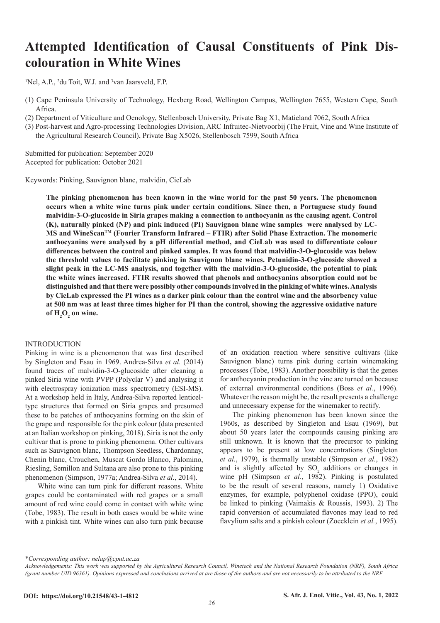# **Attempted Identification of Causal Constituents of Pink Discolouration in White Wines**

<sup>1</sup>Nel, A.P., <sup>2</sup>du Toit, W.J. and <sup>3</sup>van Jaarsveld, F.P.

(1) Cape Peninsula University of Technology, Hexberg Road, Wellington Campus, Wellington 7655, Western Cape, South Africa.

(2) Department of Viticulture and Oenology, Stellenbosch University, Private Bag X1, Matieland 7062, South Africa

(3) Post-harvest and Agro-processing Technologies Division, ARC Infruitec-Nietvoorbij (The Fruit, Vine and Wine Institute of the Agricultural Research Council), Private Bag X5026, Stellenbosch 7599, South Africa

Submitted for publication: September 2020 Accepted for publication: October 2021

Keywords: Pinking, Sauvignon blanc, malvidin, CieLab

**The pinking phenomenon has been known in the wine world for the past 50 years. The phenomenon occurs when a white wine turns pink under certain conditions. Since then, a Portuguese study found malvidin-3-O-glucoside in Siria grapes making a connection to anthocyanin as the causing agent. Control (K), naturally pinked (NP) and pink induced (PI) Sauvignon blanc wine samples were analysed by LC-MS and WineScanTM (Fourier Transform Infrared – FTIR) after Solid Phase Extraction. The monomeric anthocyanins were analysed by a pH differential method, and CieLab was used to differentiate colour differences between the control and pinked samples. It was found that malvidin-3-O-glucoside was below the threshold values to facilitate pinking in Sauvignon blanc wines. Petunidin-3-O-glucoside showed a slight peak in the LC-MS analysis, and together with the malvidin-3-O-glucoside, the potential to pink the white wines increased. FTIR results showed that phenols and anthocyanins absorption could not be distinguished and that there were possibly other compounds involved in the pinking of white wines. Analysis by CieLab expressed the PI wines as a darker pink colour than the control wine and the absorbency value at 500 nm was at least three times higher for PI than the control, showing the aggressive oxidative nature**  of  $H_2O_2$  on wine.

#### INTRODUCTION

Pinking in wine is a phenomenon that was first described by Singleton and Esau in 1969. Andrea-Silva *et al.* (2014) found traces of malvidin-3-O-glucoside after cleaning a pinked Siria wine with PVPP (Polyclar V) and analysing it with electrospray ionization mass spectrometry (ESI-MS). At a workshop held in Italy, Andrea-Silva reported lenticeltype structures that formed on Siria grapes and presumed these to be patches of anthocyanins forming on the skin of the grape and responsible for the pink colour (data presented at an Italian workshop on pinking, 2018). Siria is not the only cultivar that is prone to pinking phenomena. Other cultivars such as Sauvignon blanc, Thompson Seedless, Chardonnay, Chenin blanc, Crouchen, Muscat Gordo Blanco, Palomino, Riesling, Semillon and Sultana are also prone to this pinking phenomenon (Simpson, 1977a; Andrea-Silva *et al.*, 2014).

White wine can turn pink for different reasons. White grapes could be contaminated with red grapes or a small amount of red wine could come in contact with white wine (Tobe, 1983). The result in both cases would be white wine with a pinkish tint. White wines can also turn pink because

of an oxidation reaction where sensitive cultivars (like Sauvignon blanc) turns pink during certain winemaking processes (Tobe, 1983). Another possibility is that the genes for anthocyanin production in the vine are turned on because of external environmental conditions (Boss *et al.*, 1996). Whatever the reason might be, the result presents a challenge and unnecessary expense for the winemaker to rectify.

The pinking phenomenon has been known since the 1960s, as described by Singleton and Esau (1969), but about 50 years later the compounds causing pinking are still unknown. It is known that the precursor to pinking appears to be present at low concentrations (Singleton *et al.*, 1979), is thermally unstable (Simpson *et al.*, 1982) and is slightly affected by  $SO_2$  additions or changes in wine pH (Simpson *et al.*, 1982). Pinking is postulated to be the result of several reasons, namely 1) Oxidative enzymes, for example, polyphenol oxidase (PPO), could be linked to pinking (Vaimakis & Roussis, 1993). 2) The rapid conversion of accumulated flavones may lead to red flavylium salts and a pinkish colour (Zoecklein *et al.*, 1995).

\**Corresponding author: nelap@cput.ac.za*

*Acknowledgements: This work was supported by the Agricultural Research Council, Winetech and the National Research Foundation (NRF), South Africa (grant number UID 96361). Opinions expressed and conclusions arrived at are those of the authors and are not necessarily to be attributed to the NRF*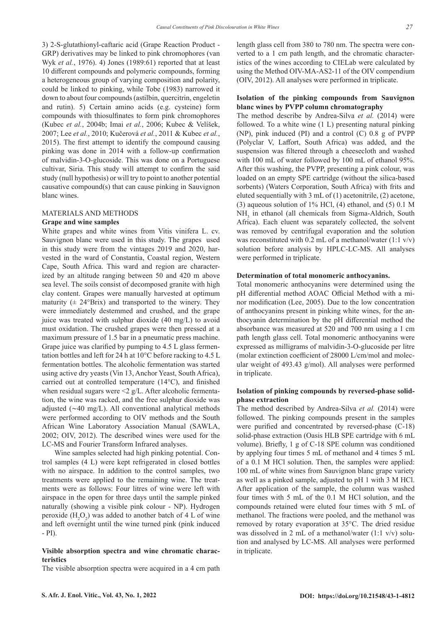3) 2-S-glutathionyl-caftaric acid (Grape Reaction Product - GRP) derivatives may be linked to pink chromophores (van Wyk *et al.*, 1976). 4) Jones (1989:61) reported that at least 10 different compounds and polymeric compounds, forming a heterogeneous group of varying composition and polarity, could be linked to pinking, while Tobe (1983) narrowed it down to about four compounds (astilbin, quercitrin, engeletin and rutin). 5) Certain amino acids (e.g. cysteine) form compounds with thiosulfinates to form pink chromophores (Kubec *et al.*, 2004b; Imai *et al.*, 2006; Kubec & Velíšek, 2007; Lee *et al.*, 2010; Kučerová *et al.*, 2011 & Kubec *et al.*, 2015). The first attempt to identify the compound causing pinking was done in 2014 with a follow-up confirmation of malvidin-3-O-glucoside. This was done on a Portuguese cultivar, Siria. This study will attempt to confirm the said study (null hypothesis) or will try to point to another potential causative compound(s) that can cause pinking in Sauvignon blanc wines.

## MATERIALS AND METHODS

## **Grape and wine samples**

White grapes and white wines from Vitis vinifera L. cv. Sauvignon blanc were used in this study. The grapes used in this study were from the vintages 2019 and 2020, harvested in the ward of Constantia, Coastal region, Western Cape, South Africa. This ward and region are characterized by an altitude ranging between 50 and 420 m above sea level. The soils consist of decomposed granite with high clay content. Grapes were manually harvested at optimum maturity  $(\pm 24^{\circ}B$ rix) and transported to the winery. They were immediately destemmed and crushed, and the grape juice was treated with sulphur dioxide (40 mg/L) to avoid must oxidation. The crushed grapes were then pressed at a maximum pressure of 1.5 bar in a pneumatic press machine. Grape juice was clarified by pumping to 4.5 L glass fermentation bottles and left for 24 h at 10°C before racking to 4.5 L fermentation bottles. The alcoholic fermentation was started using active dry yeasts (Vin 13, Anchor Yeast, South Africa), carried out at controlled temperature (14°C), and finished when residual sugars were  $\leq$  g/L. After alcoholic fermentation, the wine was racked, and the free sulphur dioxide was adjusted (∼40 mg/L). All conventional analytical methods were performed according to OIV methods and the South African Wine Laboratory Association Manual (SAWLA, 2002; OIV, 2012). The described wines were used for the LC-MS and Fourier Transform Infrared analyses.

Wine samples selected had high pinking potential. Control samples (4 L) were kept refrigerated in closed bottles with no airspace. In addition to the control samples, two treatments were applied to the remaining wine. The treatments were as follows: Four litres of wine were left with airspace in the open for three days until the sample pinked naturally (showing a visible pink colour - NP). Hydrogen peroxide  $(H_2O_2)$  was added to another batch of 4 L of wine and left overnight until the wine turned pink (pink induced  $-$  PI $)$ .

## **Visible absorption spectra and wine chromatic characteristics**

The visible absorption spectra were acquired in a 4 cm path

length glass cell from 380 to 780 nm. The spectra were converted to a 1 cm path length, and the chromatic characteristics of the wines according to CIELab were calculated by using the Method OIV-MA-AS2-11 of the OIV compendium (OIV, 2012). All analyses were performed in triplicate.

## **Isolation of the pinking compounds from Sauvignon blanc wines by PVPP column chromatography**

The method describe by Andrea-Silva *et al.* (2014) were followed. To a white wine (1 L) presenting natural pinking (NP), pink induced (PI) and a control (C) 0.8 g of PVPP (Polyclar V, Laffort, South Africa) was added, and the suspension was filtered through a cheesecloth and washed with 100 mL of water followed by 100 mL of ethanol 95%. After this washing, the PVPP, presenting a pink colour, was loaded on an empty SPE cartridge (without the silica-based sorbents) (Waters Corporation, South Africa) with frits and eluted sequentially with 3 mL of (1) acetonitrile, (2) acetone, (3) aqueous solution of 1% HCl, (4) ethanol, and (5) 0.1 M NH<sub>3</sub> in ethanol (all chemicals from Sigma-Aldrich, South Africa). Each eluent was separately collected, the solvent was removed by centrifugal evaporation and the solution was reconstituted with 0.2 mL of a methanol/water  $(1:1 \text{ v/v})$ solution before analysis by HPLC-LC-MS. All analyses were performed in triplicate.

#### **Determination of total monomeric anthocyanins.**

Total monomeric anthocyanins were determined using the pH differential method AOAC Official Method with a minor modification (Lee, 2005). Due to the low concentration of anthocyanins present in pinking white wines, for the anthocyanin determination by the pH differential method the absorbance was measured at 520 and 700 nm using a 1 cm path length glass cell. Total monomeric anthocyanins were expressed as milligrams of malvidin-3-O-glucoside per litre (molar extinction coefficient of 28000 L/cm/mol and molecular weight of 493.43 g/mol). All analyses were performed in triplicate.

## **Isolation of pinking compounds by reversed-phase solidphase extraction**

The method described by Andrea-Silva *et al.* (2014) were followed. The pinking compounds present in the samples were purified and concentrated by reversed-phase (C-18) solid-phase extraction (Oasis HLB SPE cartridge with 6 mL volume). Briefly, 1 g of C-18 SPE column was conditioned by applying four times 5 mL of methanol and 4 times 5 mL of a 0.1 M HCl solution. Then, the samples were applied: 100 mL of white wines from Sauvignon blanc grape variety as well as a pinked sample, adjusted to pH 1 with 3 M HCl. After application of the sample, the column was washed four times with 5 mL of the 0.1 M HCl solution, and the compounds retained were eluted four times with 5 mL of methanol. The fractions were pooled, and the methanol was removed by rotary evaporation at 35°C. The dried residue was dissolved in 2 mL of a methanol/water (1:1 v/v) solution and analysed by LC-MS. All analyses were performed in triplicate.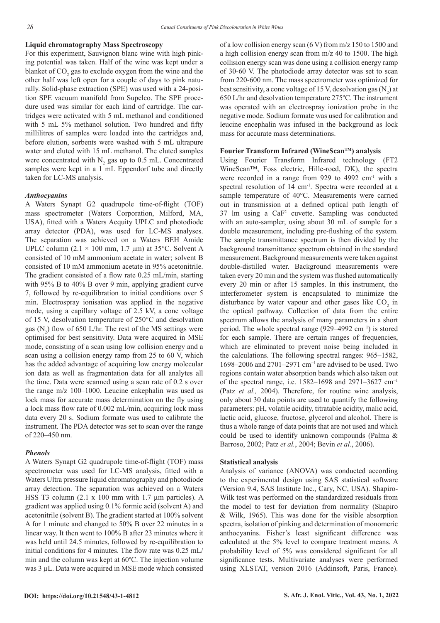## **Liquid chromatography Mass Spectroscopy**

For this experiment, Sauvignon blanc wine with high pinking potential was taken. Half of the wine was kept under a blanket of  $\mathrm{CO}_2$  gas to exclude oxygen from the wine and the other half was left open for a couple of days to pink naturally. Solid-phase extraction (SPE) was used with a 24-position SPE vacuum manifold from Supelco. The SPE procedure used was similar for each kind of cartridge. The cartridges were activated with 5 mL methanol and conditioned with 5 mL 5% methanol solution. Two hundred and fifty millilitres of samples were loaded into the cartridges and, before elution, sorbents were washed with 5 mL ultrapure water and eluted with 15 mL methanol. The eluted samples were concentrated with  $N_2$  gas up to 0.5 mL. Concentrated samples were kept in a 1 mL Eppendorf tube and directly taken for LC-MS analysis.

## *Anthocyanins*

A Waters Synapt G2 quadrupole time-of-flight (TOF) mass spectrometer (Waters Corporation, Milford, MA, USA), fitted with a Waters Acquity UPLC and photodiode array detector (PDA), was used for LC-MS analyses. The separation was achieved on a Waters BEH Amide UPLC column  $(2.1 \times 100 \text{ mm}, 1.7 \text{ }\mu\text{m})$  at 35°C. Solvent A consisted of 10 mM ammonium acetate in water; solvent B consisted of 10 mM ammonium acetate in 95% acetonitrile. The gradient consisted of a flow rate 0.25 mL/min, starting with 95% B to 40% B over 9 min, applying gradient curve 7, followed by re-equilibration to initial conditions over 5 min. Electrospray ionisation was applied in the negative mode, using a capillary voltage of 2.5 kV, a cone voltage of 15 V, desolvation temperature of 250°C and desolvation gas  $(N_2)$  flow of 650 L/hr. The rest of the MS settings were optimised for best sensitivity. Data were acquired in MSE mode, consisting of a scan using low collision energy and a scan using a collision energy ramp from 25 to 60 V, which has the added advantage of acquiring low energy molecular ion data as well as fragmentation data for all analytes all the time. Data were scanned using a scan rate of 0.2 s over the range m/z 100–1000. Leucine enkephalin was used as lock mass for accurate mass determination on the fly using a lock mass flow rate of 0.002 mL/min, acquiring lock mass data every 20 s. Sodium formate was used to calibrate the instrument. The PDA detector was set to scan over the range of 220–450 nm.

## *Phenols*

A Waters Synapt G2 quadrupole time-of-flight (TOF) mass spectrometer was used for LC-MS analysis, fitted with a Waters Ultra pressure liquid chromatography and photodiode array detection. The separation was achieved on a Waters HSS T3 column (2.1 x 100 mm with 1.7 µm particles). A gradient was applied using 0.1% formic acid (solvent A) and acetonitrile (solvent B). The gradient started at 100% solvent A for 1 minute and changed to 50% B over 22 minutes in a linear way. It then went to 100% B after 23 minutes where it was held until 24.5 minutes, followed by re-equilibration to initial conditions for 4 minutes. The flow rate was 0.25 mL/ min and the column was kept at 60ºC. The injection volume was 3 µL. Data were acquired in MSE mode which consisted of a low collision energy scan (6 V) from m/z 150 to 1500 and a high collision energy scan from m/z 40 to 1500. The high collision energy scan was done using a collision energy ramp of 30-60 V. The photodiode array detector was set to scan from 220-600 nm. The mass spectrometer was optimized for best sensitivity, a cone voltage of 15 V, desolvation gas  $(N_2)$  at 650 L/hr and desolvation temperature 275ºC. The instrument was operated with an electrospray ionization probe in the negative mode. Sodium formate was used for calibration and leucine encephalin was infused in the background as lock mass for accurate mass determinations.

## **Fourier Transform Infrared (WineScanTM) analysis**

Using Fourier Transform Infrared technology (FT2 WineScan™, Foss electric, Hille-roed, DK), the spectra were recorded in a range from 929 to 4992 cm<sup>-1</sup> with a spectral resolution of 14 cm-1. Spectra were recorded at a sample temperature of 40°C. Measurements were carried out in transmission at a defined optical path length of  $37 \text{ lm}$  using a CaF<sup>2</sup> cuvette. Sampling was conducted with an auto-sampler, using about 30 mL of sample for a double measurement, including pre-flushing of the system. The sample transmittance spectrum is then divided by the background transmittance spectrum obtained in the standard measurement. Background measurements were taken against double-distilled water. Background measurements were taken every 20 min and the system was flushed automatically every 20 min or after 15 samples. In this instrument, the interferometer system is encapsulated to minimize the disturbance by water vapour and other gases like  $CO<sub>2</sub>$  in the optical pathway. Collection of data from the entire spectrum allows the analysis of many parameters in a short period. The whole spectral range (929–4992 cm<sup>-1</sup>) is stored for each sample. There are certain ranges of frequencies, which are eliminated to prevent noise being included in the calculations. The following spectral ranges: 965–1582, 1698–2006 and 2701–2971 cm−1 are advised to be used. Two regions contain water absorption bands which also taken out of the spectral range, i.e.  $1582-1698$  and  $2971-3627$  cm<sup>-1</sup> (Patz *et al.,* 2004). Therefore, for routine wine analysis, only about 30 data points are used to quantify the following parameters: pH, volatile acidity, titratable acidity, malic acid, lactic acid, glucose, fructose, glycerol and alcohol. There is thus a whole range of data points that are not used and which could be used to identify unknown compounds (Palma & Barroso, 2002; Patz *et al.*, 2004; Bevin *et al.*, 2006).

#### **Statistical analysis**

Analysis of variance (ANOVA) was conducted according to the experimental design using SAS statistical software (Version 9.4, SAS Institute Inc., Cary, NC, USA). Shapiro-Wilk test was performed on the standardized residuals from the model to test for deviation from normality (Shapiro & Wilk, 1965). This was done for the visible absorption spectra, isolation of pinking and determination of monomeric anthocyanins. Fisher's least significant difference was calculated at the 5% level to compare treatment means. A probability level of 5% was considered significant for all significance tests. Multivariate analyses were performed using XLSTAT, version 2016 (Addinsoft, Paris, France).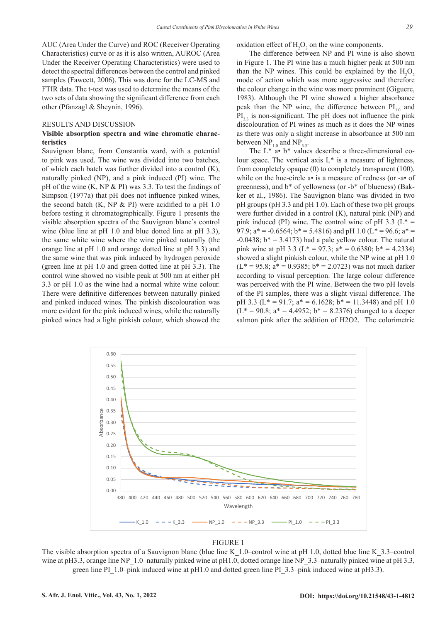AUC (Area Under the Curve) and ROC (Receiver Operating Characteristics) curve or as it is also written, AUROC (Area Under the Receiver Operating Characteristics) were used to detect the spectral differences between the control and pinked samples (Fawcett, 2006). This was done for the LC-MS and FTIR data. The t-test was used to determine the means of the two sets of data showing the significant difference from each other (Pfanzagl & Sheynin, 1996).

## RESULTS AND DISCUSSION

## **Visible absorption spectra and wine chromatic characteristics**

Sauvignon blanc, from Constantia ward, with a potential to pink was used. The wine was divided into two batches, of which each batch was further divided into a control (K), naturally pinked (NP), and a pink induced (PI) wine. The pH of the wine (K, NP & PI) was 3.3. To test the findings of Simpson (1977a) that pH does not influence pinked wines, the second batch  $(K, NP & P1)$  were acidified to a pH 1.0 before testing it chromatographically. Figure 1 presents the visible absorption spectra of the Sauvignon blanc's control wine (blue line at pH 1.0 and blue dotted line at pH 3.3), the same white wine where the wine pinked naturally (the orange line at pH 1.0 and orange dotted line at pH 3.3) and the same wine that was pink induced by hydrogen peroxide (green line at pH 1.0 and green dotted line at pH 3.3). The control wine showed no visible peak at 500 nm at either pH 3.3 or pH 1.0 as the wine had a normal white wine colour. There were definitive differences between naturally pinked and pinked induced wines. The pinkish discolouration was more evident for the pink induced wines, while the naturally pinked wines had a light pinkish colour, which showed the

oxidation effect of  $H_2O_2$  on the wine components.

The difference between NP and PI wine is also shown in Figure 1. The PI wine has a much higher peak at 500 nm than the NP wines. This could be explained by the  $H_2O_2$ mode of action which was more aggressive and therefore the colour change in the wine was more prominent (Giguere, 1983). Although the PI wine showed a higher absorbance peak than the NP wine, the difference between  $PI_{10}$  and PI<sub>2</sub>, is non-significant. The pH does not influence the pink discolouration of PI wines as much as it does the NP wines as there was only a slight increase in absorbance at 500 nm between  $NP_{1.0}$  and  $NP_{3.3}$ .

The  $L^*$  a•  $b^*$  values describe a three-dimensional colour space. The vertical axis  $L^*$  is a measure of lightness, from completely opaque (0) to completely transparent (100), while on the hue-circle a• is a measure of redness (or -a• of greenness), and b\* of yellowness (or -b\* of blueness) (Bakker et al., 1986). The Sauvignon blanc was divided in two pH groups (pH 3.3 and pH 1.0). Each of these two pH groups were further divided in a control (K), natural pink (NP) and pink induced (PI) wine. The control wine of pH 3.3 ( $L^*$  = 97.9;  $a^* = -0.6564$ ;  $b^* = 5.4816$ ) and pH 1.0 ( $L^* = 96.6$ ;  $a^* =$  $-0.0438$ ;  $b^* = 3.4173$ ) had a pale yellow colour. The natural pink wine at pH 3.3 ( $L^* = 97.3$ ;  $a^* = 0.6380$ ;  $b^* = 4.2334$ ) showed a slight pinkish colour, while the NP wine at pH 1.0  $(L^* = 95.8; a^* = 0.9385; b^* = 2.0723)$  was not much darker according to visual perception. The large colour difference was perceived with the PI wine. Between the two pH levels of the PI samples, there was a slight visual difference. The pH 3.3 ( $L^* = 91.7$ ;  $a^* = 6.1628$ ;  $b^* = 11.3448$ ) and pH 1.0  $(L^* = 90.8; a^* = 4.4952; b^* = 8.2376)$  changed to a deeper salmon pink after the addition of H2O2. The colorimetric



#### FIGURE 1

The visible absorption spectra of a Sauvignon blanc (blue line K\_1.0–control wine at pH 1.0, dotted blue line K\_3.3–control wine at pH3.3, orange line NP\_1.0–naturally pinked wine at pH1.0, dotted orange line NP\_3.3–naturally pinked wine at pH 3.3, green line PI\_1.0–pink induced wine at pH1.0 and dotted green line PI\_3.3–pink induced wine at pH3.3).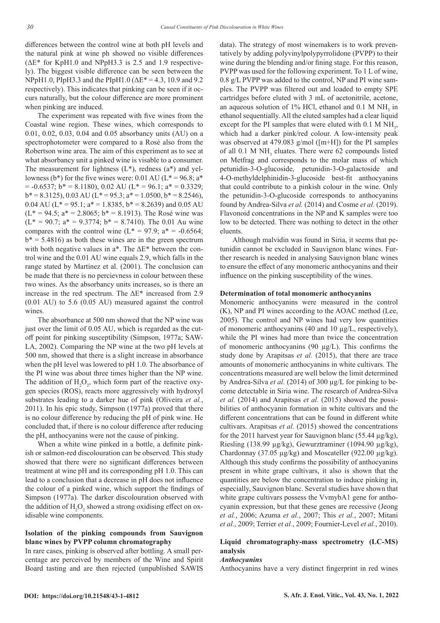differences between the control wine at both pH levels and the natural pink at wine ph showed no visible differences (ΔE\* for KpH1.0 and NPpH3.3 is 2.5 and 1.9 respectively). The biggest visible difference can be seen between the NPpH1.0, PIpH3.3 and the PIpH1.0 ( $\Delta$ E<sup>\*</sup> = 4.3, 10.9 and 9.2 respectively). This indicates that pinking can be seen if it occurs naturally, but the colour difference are more prominent when pinking are induced.

The experiment was repeated with five wines from the Coastal wine region. These wines, which corresponds to 0.01, 0.02, 0.03, 0.04 and 0.05 absorbancy units (AU) on a spectrophotometer were compared to a Rosé also from the Robertson wine area. The aim of this experiment as to see at what absorbancy unit a pinked wine is visable to a consumer. The measurement for lightness  $(L^*)$ , redness  $(a^*)$  and yellowness (b\*) for the five wines were: 0.01 AU ( $L^* = 96.8$ ; a\*  $= -0.6537$ ;  $b* = 8.1180$ ), 0.02 AU ( $L* = 96.1$ ;  $a* = 0.3329$ ;  $b* = 8.3125$ , 0.03 AU (L<sup>\*</sup> = 95.3; a<sup>\*</sup> = 1.0500, b<sup>\*</sup> = 8.2546), 0.04 AU ( $L^* = 95.1$ ;  $a^* = 1.8385$ ,  $b^* = 8.2639$ ) and 0.05 AU  $(L^* = 94.5; a^* = 2.8065; b^* = 8.1913)$ . The Rosé wine was  $(L^* = 90.7; a^* = 9.3774; b^* = 8.7410)$ . The 0.01 Au wine compares with the control wine  $(L^* = 97.9; a^* = -0.6564;$  $b^* = 5.4816$ ) as both these wines are in the green spectrum with both negative values in  $a^*$ . The  $\Delta E^*$  between the control wine and the 0.01 AU wine equals 2.9, which falls in the range stated by Martínez et al. (2001). The conclusion can be made that there is no percievness in colour between these two wines. As the absorbancy units increases, so is there an increase in the red spectrum. The ΔE\* increased from 2.9 (0.01 AU) to 5.6 (0.05 AU) measured against the control wines.

The absorbance at 500 nm showed that the NP wine was just over the limit of 0.05 AU, which is regarded as the cutoff point for pinking susceptibility (Simpson, 1977a; SAW-LA, 2002). Comparing the NP wine at the two pH levels at 500 nm, showed that there is a slight increase in absorbance when the pH level was lowered to pH 1.0. The absorbance of the PI wine was about three times higher than the NP wine. The addition of  $H_2O_2$ , which form part of the reactive oxygen species (ROS), reacts more aggressively with hydroxyl substrates leading to a darker hue of pink (Oliveira *et al.*, 2011). In his epic study, Simpson (1977a) proved that there is no colour difference by reducing the pH of pink wine. He concluded that, if there is no colour difference after reducing the pH, anthocyanins were not the cause of pinking.

When a white wine pinked in a bottle, a definite pinkish or salmon-red discolouration can be observed. This study showed that there were no significant differences between treatment at wine pH and its corresponding pH 1.0. This can lead to a conclusion that a decrease in pH does not influence the colour of a pinked wine, which support the findings of Simpson (1977a). The darker discolouration observed with the addition of  $H_2O_2$  showed a strong oxidising effect on oxidisable wine components.

## **Isolation of the pinking compounds from Sauvignon blanc wines by PVPP column chromatography**

In rare cases, pinking is observed after bottling. A small percentage are perceived by members of the Wine and Spirit Board tasting and are then rejected (unpublished SAWIS

data). The strategy of most winemakers is to work preventatively by adding polyvinylpolypyrrolidone (PVPP) to their wine during the blending and/or fining stage. For this reason, PVPP was used for the following experiment. To 1 L of wine, 0.8 g/L PVPP was added to the control, NP and PI wine samples. The PVPP was filtered out and loaded to empty SPE cartridges before eluted with 3 mL of acetonitrile, acetone, an aqueous solution of  $1\%$  HCl, ethanol and 0.1 M NH<sub>3</sub> in ethanol sequentially. All the eluted samples had a clear liquid except for the PI samples that were eluted with  $0.1 M NH<sub>3</sub>$ , which had a darker pink/red colour. A low-intensity peak was observed at 479.083 g/mol ([m+H]) for the PI samples of all 0.1 M NH<sub>3</sub> eluates. There were 62 compounds listed on Metfrag and corresponds to the molar mass of which petunidin-3-O-glucoside, petunidin-3-O-galactoside and 4-O-methyldelphinidin-3-glucoside best-fit anthocyanins that could contribute to a pinkish colour in the wine. Only the petunidin-3-O-glucoside corresponds to anthocyanins found by Andrea-Silva *et al.* (2014) and Cosme *et al.* (2019). Flavonoid concentrations in the NP and K samples were too low to be detected. There was nothing to detect in the other eluents.

Although malvidin was found in Siria, it seems that petunidin cannot be excluded in Sauvignon blanc wines. Further research is needed in analysing Sauvignon blanc wines to ensure the effect of any monomeric anthocyanins and their influence on the pinking susceptibility of the wines.

## **Determination of total monomeric anthocyanins**

Monomeric anthocyanins were measured in the control (K), NP and PI wines according to the AOAC method (Lee, 2005). The control and NP wines had very low quantities of monomeric anthocyanins (40 and 10 µg/L, respectively), while the PI wines had more than twice the concentration of monomeric anthocyanins  $(90 \mu g/L)$ . This confirms the study done by Arapitsas *et al.* (2015), that there are trace amounts of monomeric anthocyanins in white cultivars. The concentrations measured are well below the limit determined by Andrea-Silva *et al.* (2014) of 300 µg/L for pinking to become detectable in Siria wine. The research of Andrea-Silva *et al.* (2014) and Arapitsas *et al.* (2015) showed the possibilities of anthocyanin formation in white cultivars and the different concentrations that can be found in different white cultivars. Arapitsas *et al.* (2015) showed the concentrations for the 2011 harvest year for Sauvignon blanc (55.44  $\mu$ g/kg), Riesling (138.99 µg/kg), Gewurztraminer (1094.90 µg/kg), Chardonnay (37.05 µg/kg) and Moscateller (922.00 µg/kg). Although this study confirms the possibility of anthocyanins present in white grape cultivars, it also is shown that the quantities are below the concentration to induce pinking in, especially, Sauvignon blanc. Several studies have shown that white grape cultivars possess the VvmybA1 gene for anthocyanin expression, but that these genes are recessive (Jeong *et al.*, 2006; Azuma *et al.*, 2007; This *et al.*, 2007; Mitani *et al.*, 2009; Terrier *et al.*, 2009; Fournier-Level *et al.*, 2010).

## **Liquid chromatography-mass spectrometry (LC-MS) analysis**

#### *Anthocyanins*

Anthocyanins have a very distinct fingerprint in red wines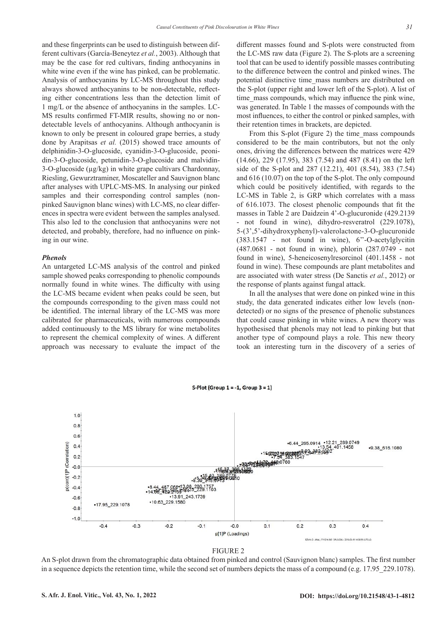and these fingerprints can be used to distinguish between different cultivars (García-Beneytez *et al.*, 2003). Although that may be the case for red cultivars, finding anthocyanins in white wine even if the wine has pinked, can be problematic. Analysis of anthocyanins by LC-MS throughout this study always showed anthocyanins to be non-detectable, reflecting either concentrations less than the detection limit of 1 mg/L or the absence of anthocyanins in the samples. LC-MS results confirmed FT-MIR results, showing no or nondetectable levels of anthocyanins. Although anthocyanin is known to only be present in coloured grape berries, a study done by Arapitsas *et al.* (2015) showed trace amounts of delphinidin-3-O-glucoside, cyanidin-3-O-glucoside, peonidin-3-O-glucoside, petunidin-3-O-glucoside and malvidin-3-O-glucoside (µg/kg) in white grape cultivars Chardonnay, Riesling, Gewurztraminer, Moscateller and Sauvignon blanc after analyses with UPLC-MS-MS. In analysing our pinked samples and their corresponding control samples (nonpinked Sauvignon blanc wines) with LC-MS, no clear differences in spectra were evident between the samples analysed. This also led to the conclusion that anthocyanins were not detected, and probably, therefore, had no influence on pinking in our wine.

## *Phenols*

An untargeted LC-MS analysis of the control and pinked sample showed peaks corresponding to phenolic compounds normally found in white wines. The difficulty with using the LC-MS became evident when peaks could be seen, but the compounds corresponding to the given mass could not be identified. The internal library of the LC-MS was more calibrated for pharmaceuticals, with numerous compounds added continuously to the MS library for wine metabolites to represent the chemical complexity of wines. A different approach was necessary to evaluate the impact of the

different masses found and S-plots were constructed from the LC-MS raw data (Figure 2). The S-plots are a screening tool that can be used to identify possible masses contributing to the difference between the control and pinked wines. The potential distinctive time\_mass numbers are distributed on the S-plot (upper right and lower left of the S-plot). A list of time mass compounds, which may influence the pink wine, was generated. In Table 1 the masses of compounds with the most influences, to either the control or pinked samples, with their retention times in brackets, are depicted.

From this S-plot (Figure 2) the time\_mass compounds considered to be the main contributors, but not the only ones, driving the differences between the matrices were 429 (14.66), 229 (17.95), 383 (7.54) and 487 (8.41) on the left side of the S-plot and 287 (12.21), 401 (8.54), 383 (7.54) and 616 (10.07) on the top of the S-plot. The only compound which could be positively identified, with regards to the LC-MS in Table 2, is GRP which correlates with a mass of 616.1073. The closest phenolic compounds that fit the masses in Table 2 are Daidzein 4'-O-glucuronide (429.2139 - not found in wine), dihydro-resveratrol (229.1078), 5-(3',5'-dihydroxyphenyl)-valerolactone-3-O-glucuronide (383.1547 - not found in wine), 6''-O-acetylglycitin (487.0681 - not found in wine), phlorin (287.0749 - not found in wine), 5-heneicosenylresorcinol (401.1458 - not found in wine). These compounds are plant metabolites and are associated with water stress (De Sanctis *et al.*, 2012) or the response of plants against fungal attack.

In all the analyses that were done on pinked wine in this study, the data generated indicates either low levels (nondetected) or no signs of the presence of phenolic substances that could cause pinking in white wines. A new theory was hypothesised that phenols may not lead to pinking but that another type of compound plays a role. This new theory took an interesting turn in the discovery of a series of



FIGURE 2

An S-plot drawn from the chromatographic data obtained from pinked and control (Sauvignon blanc) samples. The first number in a sequence depicts the retention time, while the second set of numbers depicts the mass of a compound (e.g. 17.95 229.1078).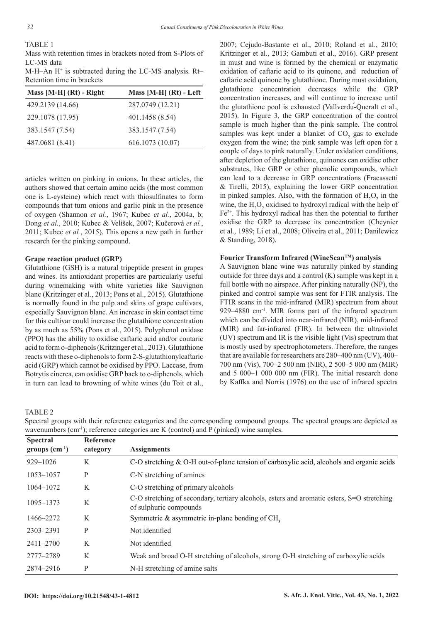## TABLE 1

Mass with retention times in brackets noted from S-Plots of LC-MS data

M-H–An H+ is subtracted during the LC-MS analysis. Rt– Retention time in brackets

| Mass $[M-H]$ (Rt) - Right | Mass $[M-H]$ $(Rt)$ - Left |
|---------------------------|----------------------------|
| 429.2139 (14.66)          | 287.0749 (12.21)           |
| 229.1078 (17.95)          | 401.1458 (8.54)            |
| 383.1547 (7.54)           | 383.1547 (7.54)            |
| 487.0681 (8.41)           | 616.1073 (10.07)           |

articles written on pinking in onions. In these articles, the authors showed that certain amino acids (the most common one is L-cysteine) which react with thiosulfinates to form compounds that turn onions and garlic pink in the presence of oxygen (Shannon *et al.*, 1967; Kubec *et al.*, 2004a, b; Dong *et al.*, 2010; Kubec & Velíšek, 2007; Kučerová *et al.*, 2011; Kubec *et al.*, 2015). This opens a new path in further research for the pinking compound.

## **Grape reaction product (GRP)**

Glutathione (GSH) is a natural tripeptide present in grapes and wines. Its antioxidant properties are particularly useful during winemaking with white varieties like Sauvignon blanc (Kritzinger et al., 2013; Pons et al., 2015). Glutathione is normally found in the pulp and skins of grape cultivars, especially Sauvignon blanc. An increase in skin contact time for this cultivar could increase the glutathione concentration by as much as 55% (Pons et al., 2015). Polyphenol oxidase (PPO) has the ability to oxidise caftaric acid and/or coutaric acid to form o-diphenols (Kritzinger et al., 2013). Glutathione reacts with these o-diphenols to form 2-S-glutathionylcaftaric acid (GRP) which cannot be oxidised by PPO. Laccase, from Botrytis cinerea, can oxidise GRP back to o-diphenols, which in turn can lead to browning of white wines (du Toit et al.,

2007; Cejudo-Bastante et al., 2010; Roland et al., 2010; Kritzinger et al., 2013; Gambuti et al., 2016). GRP present in must and wine is formed by the chemical or enzymatic oxidation of caftaric acid to its quinone, and reduction of caftaric acid quinone by glutathione. During must oxidation, glutathione concentration decreases while the GRP concentration increases, and will continue to increase until the glutathione pool is exhausted (Vallverdu*́-*Queralt et al., 2015). In Figure 3, the GRP concentration of the control sample is much higher than the pink sample. The control samples was kept under a blanket of  $\mathrm{CO}_2$  gas to exclude oxygen from the wine; the pink sample was left open for a couple of days to pink naturally. Under oxidation conditions, after depletion of the glutathione, quinones can oxidise other substrates, like GRP or other phenolic compounds, which can lead to a decrease in GRP concentrations (Fracassetti & Tirelli, 2015), explaining the lower GRP concentration in pinked samples. Also, with the formation of  $H_2O_2$  in the wine, the  $H_2O_2$  oxidised to hydroxyl radical with the help of  $Fe<sup>2+</sup>$ . This hydroxyl radical has then the potential to further oxidise the GRP to decrease its concentration (Cheynier et al., 1989; Li et al., 2008; Oliveira et al., 2011; Danilewicz & Standing, 2018).

## **Fourier Transform Infrared (WineScanTM) analysis**

A Sauvignon blanc wine was naturally pinked by standing outside for three days and a control (K) sample was kept in a full bottle with no airspace. After pinking naturally (NP), the pinked and control sample was sent for FTIR analysis. The FTIR scans in the mid-infrared (MIR) spectrum from about 929–4880 cm-1. MIR forms part of the infrared spectrum which can be divided into near-infrared (NIR), mid-infrared (MIR) and far-infrared (FIR). In between the ultraviolet (UV) spectrum and IR is the visible light (Vis) spectrum that is mostly used by spectrophotometers. Therefore, the ranges that are available for researchers are 280–400 nm (UV), 400– 700 nm (Vis), 700–2 500 nm (NIR), 2 500–5 000 nm (MIR) and 5 000–1 000 000 nm (FIR). The initial research done by Kaffka and Norris (1976) on the use of infrared spectra

TABLE 2

| <b>Spectral</b><br>$groups (cm-1)$ | <b>Reference</b><br>category | <b>Assignments</b>                                                                                                   |
|------------------------------------|------------------------------|----------------------------------------------------------------------------------------------------------------------|
| $929 - 1026$                       | K                            | C-O stretching $&$ O-H out-of-plane tension of carboxylic acid, alcohols and organic acids                           |
| $1053 - 1057$                      | P                            | C-N stretching of amines                                                                                             |
| 1064-1072                          | K                            | C-O stretching of primary alcohols                                                                                   |
| 1095-1373                          | K                            | C-O stretching of secondary, tertiary alcohols, esters and aromatic esters, S=O stretching<br>of sulphuric compounds |
| 1466–2272                          | K                            | Symmetric $\&$ asymmetric in-plane bending of CH,                                                                    |
| 2303-2391                          | P                            | Not identified                                                                                                       |
| $2411 - 2700$                      | K                            | Not identified                                                                                                       |
| 2777-2789                          | K                            | Weak and broad O-H stretching of alcohols, strong O-H stretching of carboxylic acids                                 |
| 2874-2916                          | P                            | N-H stretching of amine salts                                                                                        |

Spectral groups with their reference categories and the corresponding compound groups. The spectral groups are depicted as wavenumbers (cm<sup>-1</sup>); reference categories are K (control) and P (pinked) wine samples.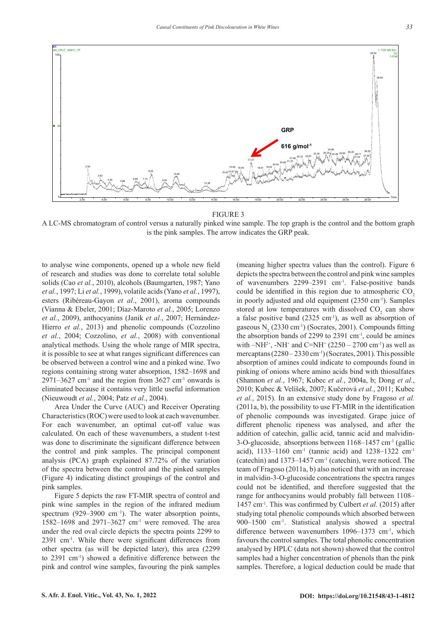

FIGURE 3

A LC-MS chromatogram of control versus a naturally pinked wine sample. The top graph is the control and the bottom graph is the pink samples. The arrow indicates the GRP peak.

to analyse wine components, opened up a whole new field of research and studies was done to correlate total soluble solids (Cao *et al.*, 2010), alcohols (Baumgarten, 1987; Yano *et al.*, 1997; Li *et al.*, 1999), volatile acids (Yano *et al.*, 1997), esters (Ribéreau-Gayon *et al.*, 2001), aroma compounds (Vianna & Ebeler, 2001; Díaz-Maroto *et al.*, 2005; Lorenzo *et al.*, 2009), anthocyanins (Janik *et al.*, 2007; Hernández-Hierro *et al.*, 2013) and phenolic compounds (Cozzolino *et al.*, 2004; Cozzolino, *et al.*, 2008) with conventional analytical methods. Using the whole range of MIR spectra, it is possible to see at what ranges significant differences can be observed between a control wine and a pinked wine. Two regions containing strong water absorption, 1582–1698 and  $2971-3627$  cm<sup>-1</sup> and the region from  $3627$  cm<sup>-1</sup> onwards is eliminated because it contains very little useful information (Nieuwoudt *et al.*, 2004; Patz *et al.*, 2004).

Area Under the Curve (AUC) and Receiver Operating Characteristics (ROC) were used to look at each wavenumber. For each wavenumber, an optimal cut-off value was calculated. On each of these wavenumbers, a student t-test was done to discriminate the significant difference between the control and pink samples. The principal component analysis (PCA) graph explained 87.72% of the variation of the spectra between the control and the pinked samples (Figure 4) indicating distinct groupings of the control and pink samples.

Figure 5 depicts the raw FT-MIR spectra of control and pink wine samples in the region of the infrared medium spectrum (929–3900 cm<sup>-1</sup>). The water absorption points, 1582–1698 and 2971–3627 cm-1 were removed. The area under the red oval circle depicts the spectra points 2299 to 2391 cm-1. While there were significant differences from other spectra (as will be depicted later), this area (2299 to 2391 cm-1) showed a definitive difference between the pink and control wine samples, favouring the pink samples

(meaning higher spectra values than the control). Figure 6 depicts the spectra between the control and pink wine samples of wavenumbers 2299–2391 cm-1. False-positive bands could be identified in this region due to atmospheric CO<sub>2</sub> in poorly adjusted and old equipment (2350 cm<sup>-1</sup>). Samples stored at low temperatures with dissolved  $CO_2$  can show a false positive band (2325 cm<sup>-1</sup>), as well as absorption of gaseous  $N_2$  (2330 cm<sup>-1</sup>) (Socrates, 2001). Compounds fitting the absorption bands of 2299 to 2391  $cm<sup>-1</sup>$ , could be amines with  $-NH^{2+}$ ,  $-NH^{+}$  and  $C=NH^{+}$  (2250 – 2700 cm<sup>-1</sup>) as well as mercaptans  $(2280 - 2330 \text{ cm}^{-1})$  (Socrates, 2001). This possible absorption of amines could indicate to compounds found in pinking of onions where amino acids bind with thiosulfates (Shannon *et al.*, 1967; Kubec *et al.*, 2004a, b; Dong *et al.*, 2010; Kubec & Velíšek, 2007; Kučerová *et al.*, 2011; Kubec *et al.*, 2015). In an extensive study done by Fragoso *et al.* (2011a, b), the possibility to use FT-MIR in the identification of phenolic compounds was investigated. Grape juice of different phenolic ripeness was analysed, and after the addition of catechin, gallic acid, tannic acid and malvidin-3-O-glucoside, absorptions between 1168–1457 cm-1 (gallic acid), 1133-1160 cm<sup>-1</sup> (tannic acid) and 1238-1322 cm<sup>-1</sup> (catechin) and  $1373-1457$  cm<sup>-1</sup> (catechin), were noticed. The team of Fragoso (2011a, b) also noticed that with an increase in malvidin-3-O-glucoside concentrations the spectra ranges could not be identified, and therefore suggested that the range for anthocyanins would probably fall between 1108– 1457 cm-1. This was confirmed by Culbert *et al.* (2015) after studying total phenolic compounds which absorbed between 900–1500 cm-1. Statistical analysis showed a spectral difference between wavenumbers 1096–1373 cm<sup>-1</sup>, which favours the control samples. The total phenolic concentration analysed by HPLC (data not shown) showed that the control samples had a higher concentration of phenols than the pink samples. Therefore, a logical deduction could be made that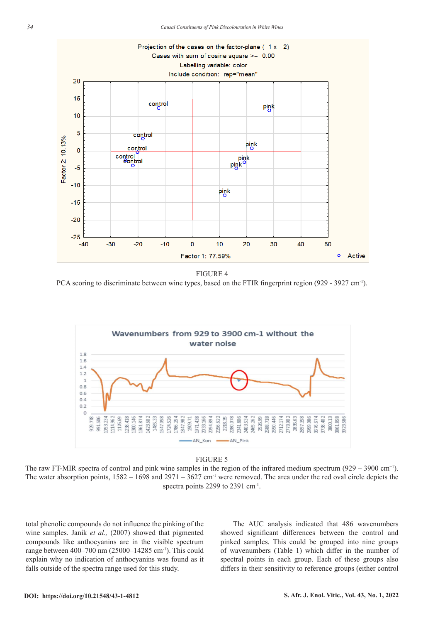

FIGURE 4 PCA scoring to discriminate between wine types, based on the FTIR fingerprint region (929 - 3927 cm<sup>-1</sup>).



#### FIGURE 5

The water absorption points,  $1582 - 1698$  and  $2971 - 3627$  cm<sup>-1</sup> were removed. The area under the red oval circle depicts the The raw FT-MIR spectra of control and pink wine samples in the region of the infrared medium spectrum (929 – 3900 cm−1). spectra points 2299 to 2391 cm<sup>-1</sup>.

total phenolic compounds do not influence the pinking of the wine samples. Janik *et al.,* (2007) showed that pigmented compounds like anthocyanins are in the visible spectrum range between 400–700 nm (25000–14285 cm<sup>-1</sup>). This could explain why no indication of anthocyanins was found as it falls outside of the spectra range used for this study.

The AUC analysis indicated that 486 wavenumbers showed significant differences between the control and pinked samples. This could be grouped into nine groups of wavenumbers (Table 1) which differ in the number of spectral points in each group. Each of these groups also differs in their sensitivity to reference groups (either control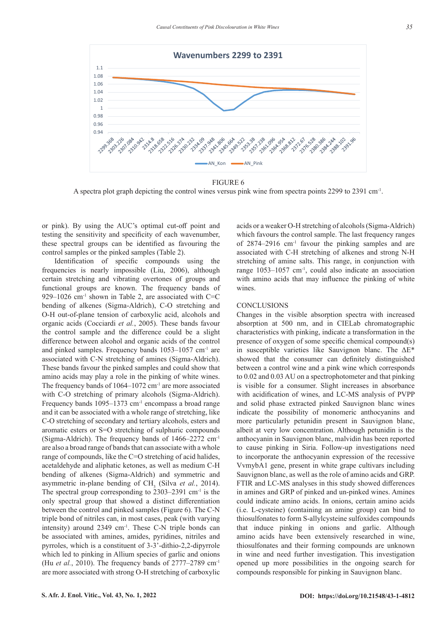

FIGURE 6

A spectra plot graph depicting the control wines versus pink wine from spectra points 2299 to 2391 cm-1.

or pink). By using the AUC's optimal cut-off point and testing the sensitivity and specificity of each wavenumber, these spectral groups can be identified as favouring the control samples or the pinked samples (Table 2).

Identification of specific compounds using the frequencies is nearly impossible (Liu, 2006), although certain stretching and vibrating overtones of groups and functional groups are known. The frequency bands of 929–1026 cm<sup>-1</sup> shown in Table 2, are associated with  $C=C$ bending of alkenes (Sigma-Aldrich), C-O stretching and O-H out-of-plane tension of carboxylic acid, alcohols and organic acids (Cocciardi *et al.*, 2005). These bands favour the control sample and the difference could be a slight difference between alcohol and organic acids of the control and pinked samples. Frequency bands 1053–1057 cm-1 are associated with C-N stretching of amines (Sigma-Aldrich). These bands favour the pinked samples and could show that amino acids may play a role in the pinking of white wines. The frequency bands of  $1064-1072$  cm<sup>-1</sup> are more associated with C-O stretching of primary alcohols (Sigma-Aldrich). Frequency bands  $1095-1373$  cm<sup>-1</sup> encompass a broad range and it can be associated with a whole range of stretching, like C-O stretching of secondary and tertiary alcohols, esters and aromatic esters or S=O stretching of sulphuric compounds (Sigma-Aldrich). The frequency bands of 1466–2272 cm-1 are also a broad range of bands that can associate with a whole range of compounds, like the C=O stretching of acid halides, acetaldehyde and aliphatic ketones, as well as medium C-H bending of alkenes (Sigma-Aldrich) and symmetric and asymmetric in-plane bending of CH<sub>3</sub> (Silva *et al.*, 2014). The spectral group corresponding to  $2303-2391$  cm<sup>-1</sup> is the only spectral group that showed a distinct differentiation between the control and pinked samples (Figure 6). The C-N triple bond of nitriles can, in most cases, peak (with varying intensity) around 2349 cm<sup>-1</sup>. These C-N triple bonds can be associated with amines, amides, pyridines, nitriles and pyrroles, which is a constituent of 3-3'-dithio-2,2-dipyrrole which led to pinking in Allium species of garlic and onions (Hu *et al.*, 2010). The frequency bands of 2777–2789 cm-1 are more associated with strong O-H stretching of carboxylic

acids or a weaker O-H stretching of alcohols (Sigma-Aldrich) which favours the control sample. The last frequency ranges of 2874–2916 cm-1 favour the pinking samples and are associated with C-H stretching of alkenes and strong N-H stretching of amine salts. This range, in conjunction with range 1053–1057 cm-1, could also indicate an association with amino acids that may influence the pinking of white wines.

## **CONCLUSIONS**

Changes in the visible absorption spectra with increased absorption at 500 nm, and in CIELab chromatographic characteristics with pinking, indicate a transformation in the presence of oxygen of some specific chemical compound(s) in susceptible varieties like Sauvignon blanc. The ΔE\* showed that the consumer can definitely distinguished between a control wine and a pink wine which corresponds to 0.02 and 0.03 AU on a spectrophotometer and that pinking is visible for a consumer. Slight increases in absorbance with acidification of wines, and LC-MS analysis of PVPP and solid phase extracted pinked Sauvignon blanc wines indicate the possibility of monomeric anthocyanins and more particularly petunidin present in Sauvignon blanc, albeit at very low concentration. Although petunidin is the anthocyanin in Sauvignon blanc, malvidin has been reported to cause pinking in Siria. Follow-up investigations need to incorporate the anthocyanin expression of the recessive VvmybA1 gene, present in white grape cultivars including Sauvignon blanc, as well as the role of amino acids and GRP. FTIR and LC-MS analyses in this study showed differences in amines and GRP of pinked and un-pinked wines. Amines could indicate amino acids. In onions, certain amino acids (i.e. L-cysteine) (containing an amine group) can bind to thiosulfonates to form S-allylcysteine sulfoxides compounds that induce pinking in onions and garlic. Although amino acids have been extensively researched in wine, thiosulfonates and their forming compounds are unknown in wine and need further investigation. This investigation opened up more possibilities in the ongoing search for compounds responsible for pinking in Sauvignon blanc.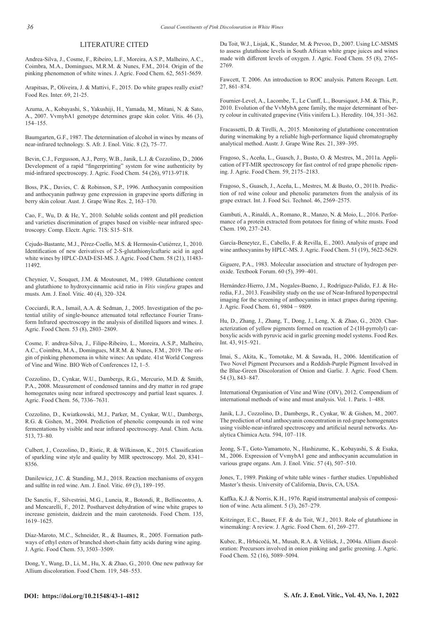## LITERATURE CITED

Andrea-Silva, J., Cosme, F., Ribeiro, L.F., Moreira, A.S.P., Malheiro, A.C., Coimbra, M.A., Domingues, M.R.M. & Nunes, F.M., 2014. Origin of the pinking phenomenon of white wines. J. Agric. Food Chem. 62, 5651-5659.

Arapitsas, P., Oliveira, J. & Mattivi, F., 2015. Do white grapes really exist? Food Res. Inter. 69, 21-25.

Azuma, A., Kobayashi, S., Yakushiji, H., Yamada, M., Mitani, N. & Sato, A., 2007. VvmybA1 genotype determines grape skin color. Vitis. 46 (3), 154–155.

Baumgarten, G.F., 1987. The determination of alcohol in wines by means of near-infrared technology. S. Afr. J. Enol. Vitic. 8 (2), 75–77.

Bevin, C.J., Fergusson, A.J., Perry, W.B., Janik, L.J. & Cozzolino, D., 2006 Development of a rapid "fingerprinting" system for wine authenticity by mid-infrared spectroscopy. J. Agric. Food Chem. 54 (26), 9713-9718.

Boss, P.K., Davies, C. & Robinson, S.P., 1996. Anthocyanin composition and anthocyanin pathway gene expression in grapevine sports differing in berry skin colour. Aust. J. Grape Wine Res. 2, 163–170.

Cao, F., Wu, D. & He, Y., 2010. Soluble solids content and pH prediction and varieties discrimination of grapes based on visible–near infrared spectroscopy. Comp. Electr. Agric. 71S: S15–S18.

Cejudo-Bastante, M.J., Pérez-Coello, M.S. & Hermosín-Cutiérrez, I., 2010. Identification of new derivatives of 2-S-glutathionylcaftaric acid in aged white wines by HPLC-DAD-ESI-MS. J. Agric. Food Chem. 58 (21), 11483- 11492.

Cheynier, V., Souquet, J.M. & Moutounet, M., 1989. Glutathione content and glutathione to hydroxycinnamic acid ratio in *Vitis vinifera* grapes and musts. Am. J. Enol. Vitic. 40 (4), 320–324.

Cocciardi, R.A., Ismail, A.A. & Sedman, J., 2005. Investigation of the potential utility of single-bounce attenuated total reflectance Fourier Transform Infrared spectroscopy in the analysis of distilled liquors and wines. J. Agric. Food Chem. 53 (8), 2803–2809.

Cosme, F. andrea-Silva, J., Filipe-Ribeiro, L., Moreira, A.S.P., Malheiro, A.C., Coimbra, M.A., Domingues, M.R.M. & Nunes, F.M., 2019. The origin of pinking phenomena in white wines: An update. 41st World Congress of Vine and Wine. BIO Web of Conferences 12, 1–5.

Cozzolino, D., Cynkar, W.U., Dambergs, R.G., Mercurio, M.D. & Smith, P.A., 2008. Measurement of condensed tannins and dry matter in red grape homogenates using near infrared spectroscopy and partial least squares. J. Agric. Food Chem. 56, 7336–7631.

Cozzolino, D., Kwiatkowski, M.J., Parker, M., Cynkar, W.U., Dambergs, R.G. & Gishen, M., 2004. Prediction of phenolic compounds in red wine fermentations by visible and near infrared spectroscopy. Anal. Chim. Acta. 513, 73–80.

Culbert, J., Cozzolino, D., Ristic, R. & Wilkinson, K., 2015. Classification of sparkling wine style and quality by MIR spectroscopy. Mol. 20, 8341– 8356.

Danilewicz, J.C. & Standing, M.J., 2018. Reaction mechanisms of oxygen and sulfite in red wine. Am. J. Enol. Vitic. 69 (3), 189–195.

De Sanctis, F., Silvestrini, M.G., Luneia, R., Botondi, R., Bellincontro, A. and Mencarelli, F., 2012. Postharvest dehydration of wine white grapes to increase genistein, daidzein and the main carotenoids. Food Chem. 135, 1619–1625.

Díaz-Maroto, M.C., Schneider, R., & Baumes, R., 2005. Formation pathways of ethyl esters of branched short-chain fatty acids during wine aging. J. Agric. Food Chem. 53, 3503–3509.

Dong, Y., Wang, D., Li, M., Hu, X. & Zhao, G., 2010. One new pathway for Allium discoloration. Food Chem. 119, 548–553.

Du Toit, W.J., Lisjak, K., Stander, M. & Prevoo, D., 2007. Using LC-MSMS to assess glutathione levels in South African white grape juices and wines made with different levels of oxygen. J. Agric. Food Chem. 55 (8), 2765- 2769.

Fawcett, T. 2006. An introduction to ROC analysis. Pattern Recogn. Lett. 27, 861–874.

Fournier-Level, A., Lacombe, T., Le Cunff, L., Boursiquot, J-M. & This, P., 2010. Evolution of the VvMybA gene family, the major determinant of berry colour in cultivated grapevine (Vitis vinifera L.). Heredity. 104, 351–362.

Fracassetti, D. & Tirelli, A., 2015. Monitoring of glutathione concentration during winemaking by a reliable high-performance liquid chromatography analytical method. Austr. J. Grape Wine Res. 21, 389–395.

Fragoso, S., Aceña, L., Guasch, J., Busto, O. & Mestres, M., 2011a. Application of FT-MIR spectroscopy for fast control of red grape phenolic ripening. J. Agric. Food Chem. 59, 2175–2183.

Fragoso, S., Guasch, J., Aceña, L., Mestres, M. & Busto, O., 2011b. Prediction of red wine colour and phenolic parameters from the analysis of its grape extract. Int. J. Food Sci. Technol. 46, 2569–2575.

Gambuti, A., Rinaldi, A., Romano, R., Manzo, N. & Moio, L., 2016. Performance of a protein extracted from potatoes for fining of white musts. Food Chem. 190, 237–243.

García-Beneytez, E., Cabello, F. & Revilla, E., 2003. Analysis of grape and wine anthocyanins by HPLC-MS. J. Agric. Food Chem. 51 (19), 5622-5629.

Giguere, P.A., 1983. Molecular association and structure of hydrogen peroxide. Textbook Forum. 60 (5), 399–401.

Hernández-Hierro, J.M., Nogales-Bueno, J., Rodríguez-Pulido, F.J. & Heredia, F.J., 2013. Feasibility study on the use of Near-Infrared hyperspectral imaging for the screening of anthocyanins in intact grapes during ripening. J. Agric. Food Chem. 61, 9804 − 9809.

Hu, D., Zhang, J., Zhang, T., Dong, J., Leng, X. & Zhao, G., 2020. Characterization of yellow pigments formed on reaction of 2-(1H-pyrrolyl) carboxylic acids with pyruvic acid in garlic greening model systems. Food Res. Int. 43, 915–921.

Imai, S., Akita, K., Tomotake, M. & Sawada, H., 2006. Identification of Two Novel Pigment Precursors and a Reddish-Purple Pigment Involved in the Blue-Green Discoloration of Onion and Garlic. J. Agric. Food Chem. 54 (3), 843–847.

International Organisation of Vine and Wine (OIV), 2012. Compendium of international methods of wine and must analysis. Vol. 1. Paris. 1–488.

Janik, L.J., Cozzolino, D., Dambergs, R., Cynkar, W. & Gishen, M., 2007. The prediction of total anthocyanin concentration in red-grape homogenates using visible-near-infrared spectroscopy and artificial neural networks. Analytica Chimica Acta. 594, 107–118.

Jeong, S-T., Goto-Yamamoto, N., Hashizume, K., Kobayashi, S. & Esaka, M., 2006. Expression of VvmybA1 gene and anthocyanin accumulation in various grape organs. Am. J. Enol. Vitic. 57 (4), 507–510.

Jones, T., 1989. Pinking of white table wines - further studies. Unpublished Master's thesis. University of California, Davis, CA, USA.

Kaffka, K.J. & Norris, K.H., 1976. Rapid instrumental analysis of composition of wine. Acta aliment. 5 (3), 267–279.

Kritzinger, E.C., Bauer, F.F. & du Toit, W.J., 2013. Role of glutathione in winemaking: A review. J. Agric. Food Chem. 61, 269–277.

Kubec, R., Hrbácočá, M., Musah, R.A. & Velíšek, J., 2004a. Allium discoloration: Precursors involved in onion pinking and garlic greening. J. Agric. Food Chem. 52 (16), 5089–5094.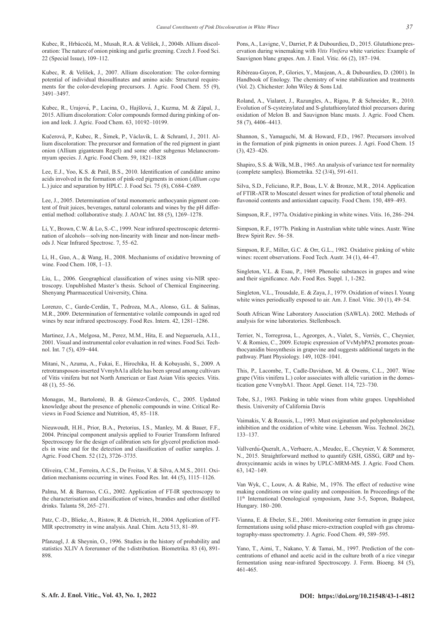Kubec, R., Hrbácočá, M., Musah, R.A. & Velíšek, J., 2004b. Allium discoloration: The nature of onion pinking and garlic greening. Czech J. Food Sci. 22 (Special Issue), 109–112.

Kubec, R. & Velíšek, J., 2007. Allium discoloration: The color-forming potential of individual thiosulfinates and amino acids: Structural requirements for the color-developing precursors. J. Agric. Food Chem. 55 (9), 3491–3497.

Kubec, R., Urajová, P., Lacina, O., Hajšlová, J., Kuzma, M. & Zápal, J., 2015. Allium discoloration: Color compounds formed during pinking of onion and leek. J. Agric. Food Chem. 63, 10192–10199.

Kučerová, P., Kubec, R., Šimek, P., Václavík, L. & Schraml, J., 2011. Allium discoloration: The precursor and formation of the red pigment in giant onion (Allium giganteum Regel) and some other subgenus Melanocrommyum species. J. Agric. Food Chem. 59, 1821–1828

Lee, E.J., Yoo, K.S. & Patil, B.S., 2010. Identification of candidate amino acids involved in the formation of pink-red pigments in onion (*Allium cepa* L.) juice and separation by HPLC. J. Food Sci. 75 (8), C684–C689.

Lee, J., 2005. Determination of total monomeric anthocyanin pigment content of fruit juices, beverages, natural colorants and wines by the pH differential method: collaborative study. J. AOAC Int. 88 (5), 1269–1278.

Li, Y., Brown, C.W. & Lo, S.-C., 1999. Near infrared spectroscopic determination of alcohols—solving non-linearity with linear and non-linear methods J. Near Infrared Spectrosc. 7, 55–62.

Li, H., Guo, A., & Wang, H., 2008. Mechanisms of oxidative browning of wine. Food Chem. 108, 1–13.

Liu, L., 2006. Geographical classification of wines using vis-NIR spectroscopy. Unpublished Master's thesis. School of Chemical Engineering. Shenyang Pharmaceutical University, China.

Lorenzo, C., Garde-Cerdán, T., Pedroza, M.A., Alonso, G.L. & Salinas, M.R., 2009. Determination of fermentative volatile compounds in aged red wines by near infrared spectroscopy. Food Res. Intern. 42, 1281–1286.

Martinez, J.A., Melgosa, M., Perez, M.M., Hita, E. and Negueruela, A.I.I., 2001. Visual and instrumental color evaluation in red wines. Food Sci. Technol. Int. 7 (5), 439−444.

Mitani, N., Azuma, A., Fukai, E., Hirochika, H. & Kobayashi, S., 2009. A retrotransposon-inserted VvmybA1a allele has been spread among cultivars of Vitis vinifera but not North American or East Asian Vitis species. Vitis. 48 (1), 55–56.

Monagas, M., Bartolomé, B. & Gómez-Cordovés, C., 2005. Updated knowledge about the presence of phenolic compounds in wine. Critical Reviews in Food Science and Nutrition, 45, 85–118.

Nieuwoudt, H.H., Prior, B.A., Pretorius, I.S., Manley, M. & Bauer, F.F., 2004. Principal component analysis applied to Fourier Transform Infrared Spectroscopy for the design of calibration sets for glycerol prediction models in wine and for the detection and classification of outlier samples. J. Agric. Food Chem. 52 (12), 3726–3735.

Oliveira, C.M., Ferreira, A.C.S., De Freitas, V. & Silva, A.M.S., 2011. Oxidation mechanisms occurring in wines. Food Res. Int. 44 (5), 1115–1126.

Palma, M. & Barroso, C.G., 2002. Application of FT-IR spectroscopy to the characterisation and classification of wines, brandies and other distilled drinks. Talanta 58, 265–271.

Patz, C.-D., Blieke, A., Ristow, R. & Dietrich, H., 2004. Application of FT-MIR spectrometry in wine analysis. Anal. Chim. Acta 513, 81–89.

Pfanzagl, J. & Sheynin, O., 1996. Studies in the history of probability and statistics XLIV A forerunner of the t-distribution. Biometrika. 83 (4), 891- 898.

Pons, A., Lavigne, V., Darriet, P. & Dubourdieu, D., 2015. Glutathione preservation during winemaking with *Vitis Vinifera* white varieties: Example of Sauvignon blanc grapes. Am. J. Enol. Vitic. 66 (2), 187–194.

Ribéreau-Gayon, P., Glories, Y., Maujean, A., & Dubourdieu, D. (2001). In Handbook of Enology. The chemistry of wine stabilization and treatments (Vol. 2). Chichester: John Wiley & Sons Ltd.

Roland, A., Vialaret, J., Razungles, A., Rigou, P. & Schneider, R., 2010. Evolution of S-cysteinylated and S-glutathionylated thiol precursors during oxidation of Melon B. and Sauvignon blanc musts. J. Agric. Food Chem. 58 (7), 4406–4413.

Shannon, S., Yamaguchi, M. & Howard, F.D., 1967. Precursors involved in the formation of pink pigments in onion purees. J. Agri. Food Chem. 15 (3), 423–426.

Shapiro, S.S. & Wilk, M.B., 1965. An analysis of variance test for normality (complete samples). Biometrika. 52 (3/4), 591-611.

Silva, S.D., Feliciano, R.P., Boas, L.V. & Bronze, M.R., 2014. Application of FTIR-ATR to Moscatel dessert wines for prediction of total phenolic and flavonoid contents and antioxidant capacity. Food Chem. 150, 489–493.

Simpson, R.F., 1977a. Oxidative pinking in white wines. Vitis. 16, 286–294.

Simpson, R.F., 1977b. Pinking in Australian white table wines. Austr. Wine Brew Spirit Rev. 56–58.

Simpson, R.F., Miller, G.C. & Orr, G.L., 1982. Oxidative pinking of white wines: recent observations. Food Tech. Austr. 34 (1), 44–47.

Singleton, V.L. & Esau, P., 1969. Phenolic substances in grapes and wine and their significance. Adv. Food Res. Suppl. 1, 1-282.

Singleton, V.L., Trousdale, E. & Zaya, J., 1979. Oxidation of wines I. Young white wines periodically exposed to air. Am. J. Enol. Vitic. 30 (1), 49–54.

South African Wine Laboratory Association (SAWLA). 2002. Methods of analysis for wine laboratories. Stellenbosch.

Terrier, N., Torregrosa, L., Ageorges, A., Vialet, S., Verriés, C., Cheynier, V. & Romieu, C., 2009. Ectopic expression of VvMybPA2 promotes proanthocyanidin biosynthesis in grapevine and suggests additional targets in the pathway. Plant Physiology. 149, 1028–1041.

This, P., Lacombe, T., Cadle-Davidson, M. & Owens, C.L., 2007. Wine grape (Vitis vinifera L.) color associates with allelic variation in the domestication gene VvmybA1. Theor. Appl. Genet. 114, 723–730.

Tobe, S.J., 1983. Pinking in table wines from white grapes. Unpublished thesis. University of California Davis

Vaimakis, V. & Roussis, L., 1993. Must oxigination and polyphenoloxidase inhibition and the oxidation of white wine. Lebensm. Wiss. Technol. 26(2), 133–137.

Vallverdú-Queralt, A., Verbaere, A., Meudec, E., Cheynier, V. & Sommerer, N., 2015. Straightforward method to quantify GSH, GSSG, GRP and hydroxycinnamic acids in wines by UPLC-MRM-MS. J. Agric. Food Chem. 63, 142–149.

Van Wyk, C., Louw, A. & Rabie, M., 1976. The effect of reductive wine making conditions on wine quality and composition. In Proceedings of the 11th International Oenological symposium, June 3-5, Sopron, Budapest, Hungary. 180–200.

Vianna, E. & Ebeler, S.E., 2001. Monitoring ester formation in grape juice fermentations using solid phase micro-extraction coupled with gas chromatography-mass spectrometry. J. Agric. Food Chem. 49, 589–595.

Yano, T., Aimi, T., Nakano, Y. & Tamai, M., 1997. Prediction of the concentrations of ethanol and acetic acid in the culture broth of a rice vinegar fermentation using near-infrared Spectroscopy. J. Ferm. Bioeng. 84 (5), 461-465.